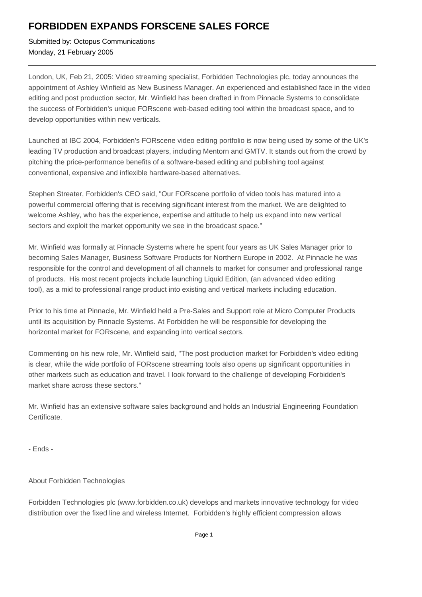## **FORBIDDEN EXPANDS FORSCENE SALES FORCE**

Submitted by: Octopus Communications Monday, 21 February 2005

London, UK, Feb 21, 2005: Video streaming specialist, Forbidden Technologies plc, today announces the appointment of Ashley Winfield as New Business Manager. An experienced and established face in the video editing and post production sector, Mr. Winfield has been drafted in from Pinnacle Systems to consolidate the success of Forbidden's unique FORscene web-based editing tool within the broadcast space, and to develop opportunities within new verticals.

Launched at IBC 2004, Forbidden's FORscene video editing portfolio is now being used by some of the UK's leading TV production and broadcast players, including Mentorn and GMTV. It stands out from the crowd by pitching the price-performance benefits of a software-based editing and publishing tool against conventional, expensive and inflexible hardware-based alternatives.

Stephen Streater, Forbidden's CEO said, "Our FORscene portfolio of video tools has matured into a powerful commercial offering that is receiving significant interest from the market. We are delighted to welcome Ashley, who has the experience, expertise and attitude to help us expand into new vertical sectors and exploit the market opportunity we see in the broadcast space."

Mr. Winfield was formally at Pinnacle Systems where he spent four years as UK Sales Manager prior to becoming Sales Manager, Business Software Products for Northern Europe in 2002. At Pinnacle he was responsible for the control and development of all channels to market for consumer and professional range of products. His most recent projects include launching Liquid Edition, (an advanced video editing tool), as a mid to professional range product into existing and vertical markets including education.

Prior to his time at Pinnacle, Mr. Winfield held a Pre-Sales and Support role at Micro Computer Products until its acquisition by Pinnacle Systems. At Forbidden he will be responsible for developing the horizontal market for FORscene, and expanding into vertical sectors.

Commenting on his new role, Mr. Winfield said, "The post production market for Forbidden's video editing is clear, while the wide portfolio of FORscene streaming tools also opens up significant opportunities in other markets such as education and travel. I look forward to the challenge of developing Forbidden's market share across these sectors."

Mr. Winfield has an extensive software sales background and holds an Industrial Engineering Foundation Certificate.

- Ends -

## About Forbidden Technologies

Forbidden Technologies plc (www.forbidden.co.uk) develops and markets innovative technology for video distribution over the fixed line and wireless Internet. Forbidden's highly efficient compression allows